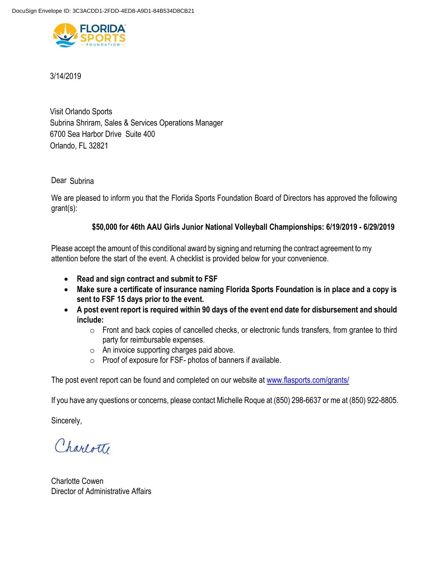

3/14/2019

Orlando, FL 32821 Visit Orlando Sports 6700 Sea Harbor Drive Suite 400 Subrina Shriram, Sales & Services Operations Manager

Dear Subrina

We are pleased to inform you that the Florida Sports Foundation Board of Directors has approved the following grant(s):

# **\$50,000 for 46th AAU Girls Junior National Volleyball Championships: 6/19/2019 - 6/29/2019**

Please accept the amount of this conditional award by signing and returning the contract agreement to my attention before the start of the event. A checklist is provided below for your convenience.

- **Read and sign contract and submit to FSF**
- **Make sure a certificate of insurance naming Florida Sports Foundation is in place and a copy is sent to FSF 15 days prior to the event.**
- **A post event report is required within 90 days of the event end date for disbursement and should include:**
	- o Front and back copies of cancelled checks, or electronic funds transfers, from grantee to third party for reimbursable expenses.
	- o An invoice supporting charges paid above.
	- o Proof of exposure for FSF- photos of banners if available.

The post event report can be found and completed on our website at [www.flasports.com/grants/](http://www.flasports.com/grants/)

If you have any questions or concerns, please contact Michelle Roque at (850) 298-6637 or me at (850) 922-8805.

Sincerely,

Charlotte

Charlotte Cowen Director of Administrative Affairs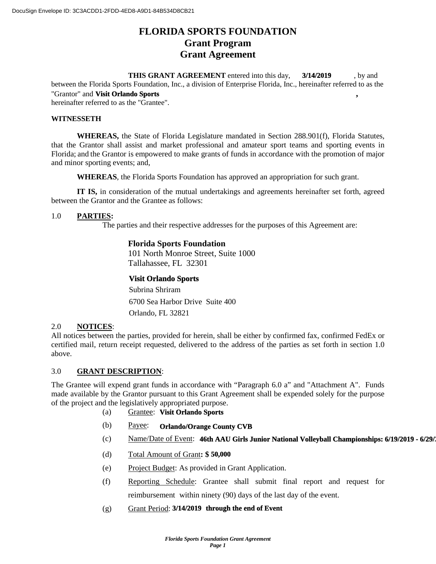# **FLORIDA SPORTS FOUNDATION Grant Program Grant Agreement**

**THIS GRANT AGREEMENT** entered into this day, **3/14/2019** by and between the Florida Sports Foundation, Inc., a division of Enterprise Florida, Inc., hereinafter referred to as the "Grantor" and **Visit Orlando Sports** , hereinafter referred to as the "Grantee". **3/14/2019**

#### **WITNESSETH**

**WHEREAS,** the State of Florida Legislature mandated in Section 288.901(f), Florida Statutes, that the Grantor shall assist and market professional and amateur sport teams and sporting events in Florida; and the Grantor is empowered to make grants of funds in accordance with the promotion of major and minor sporting events; and,

**WHEREAS**, the Florida Sports Foundation has approved an appropriation for such grant.

**IT IS,** in consideration of the mutual undertakings and agreements hereinafter set forth, agreed between the Grantor and the Grantee as follows:

# 1.0 **PARTIES:**

The parties and their respective addresses for the purposes of this Agreement are:

# **Florida Sports Foundation**

101 North Monroe Street, Suite 1000 Tallahassee, FL 32301

#### **Visit Orlando Sports**

Subrina Shriram Orlando, FL 32821 6700 Sea Harbor Drive Suite 400

#### 2.0 **NOTICES**:

All notices between the parties, provided for herein, shall be either by confirmed fax, confirmed FedEx or certified mail, return receipt requested, delivered to the address of the parties as set forth in section 1.0 above.

# 3.0 **GRANT DESCRIPTION**:

The Grantee will expend grant funds in accordance with "Paragraph 6.0 a" and "Attachment A". Funds made available by the Grantor pursuant to this Grant Agreement shall be expended solely for the purpose of the project and the legislatively appropriated purpose.

- (a) Grantee: **Visit Orlando Sports**
- (b) Payee: **Orlando/Orange County CVB**
- (c) Mame/Date of Event: **46th AAU Girls Junior National Volleyball Championships: 6/19/2019 6/29/2**
- (d) Total Amount of Grant**: \$ 50,000**
- (e) Project Budget: As provided in Grant Application.
- (f) Reporting Schedule: Grantee shall submit final report and request for reimbursement within ninety (90) days of the last day of the event.
- (g) Grant Period: **3/14/2019** through the end of Event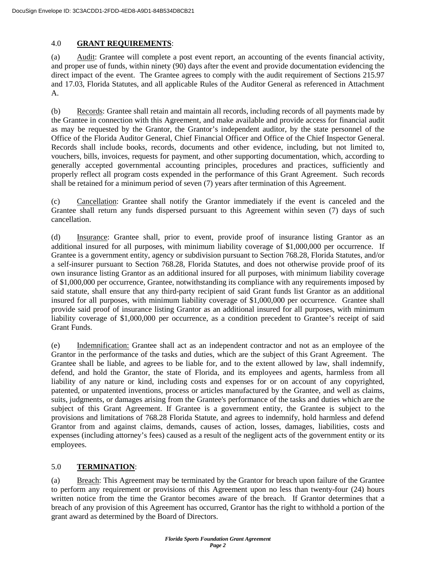# 4.0 **GRANT REQUIREMENTS**:

(a) Audit: Grantee will complete a post event report, an accounting of the events financial activity, and proper use of funds, within ninety (90) days after the event and provide documentation evidencing the direct impact of the event. The Grantee agrees to comply with the audit requirement of Sections 215.97 and 17.03, Florida Statutes, and all applicable Rules of the Auditor General as referenced in Attachment A.

(b) Records: Grantee shall retain and maintain all records, including records of all payments made by the Grantee in connection with this Agreement, and make available and provide access for financial audit as may be requested by the Grantor, the Grantor's independent auditor, by the state personnel of the Office of the Florida Auditor General, Chief Financial Officer and Office of the Chief Inspector General. Records shall include books, records, documents and other evidence, including, but not limited to, vouchers, bills, invoices, requests for payment, and other supporting documentation, which, according to generally accepted governmental accounting principles, procedures and practices, sufficiently and properly reflect all program costs expended in the performance of this Grant Agreement. Such records shall be retained for a minimum period of seven (7) years after termination of this Agreement.

(c) Cancellation: Grantee shall notify the Grantor immediately if the event is canceled and the Grantee shall return any funds dispersed pursuant to this Agreement within seven (7) days of such cancellation.

(d) Insurance: Grantee shall, prior to event, provide proof of insurance listing Grantor as an additional insured for all purposes, with minimum liability coverage of \$1,000,000 per occurrence. If Grantee is a government entity, agency or subdivision pursuant to Section 768.28, Florida Statutes, and/or a self-insurer pursuant to Section 768.28, Florida Statutes, and does not otherwise provide proof of its own insurance listing Grantor as an additional insured for all purposes, with minimum liability coverage of \$1,000,000 per occurrence, Grantee, notwithstanding its compliance with any requirements imposed by said statute, shall ensure that any third-party recipient of said Grant funds list Grantor as an additional insured for all purposes, with minimum liability coverage of \$1,000,000 per occurrence. Grantee shall provide said proof of insurance listing Grantor as an additional insured for all purposes, with minimum liability coverage of \$1,000,000 per occurrence, as a condition precedent to Grantee's receipt of said Grant Funds.

(e) Indemnification: Grantee shall act as an independent contractor and not as an employee of the Grantor in the performance of the tasks and duties, which are the subject of this Grant Agreement. The Grantee shall be liable, and agrees to be liable for, and to the extent allowed by law, shall indemnify, defend, and hold the Grantor, the state of Florida, and its employees and agents, harmless from all liability of any nature or kind, including costs and expenses for or on account of any copyrighted, patented, or unpatented inventions, process or articles manufactured by the Grantee, and well as claims, suits, judgments, or damages arising from the Grantee's performance of the tasks and duties which are the subject of this Grant Agreement. If Grantee is a government entity, the Grantee is subject to the provisions and limitations of 768.28 Florida Statute, and agrees to indemnify, hold harmless and defend Grantor from and against claims, demands, causes of action, losses, damages, liabilities, costs and expenses (including attorney's fees) caused as a result of the negligent acts of the government entity or its employees.

# 5.0 **TERMINATION**:

(a) Breach: This Agreement may be terminated by the Grantor for breach upon failure of the Grantee to perform any requirement or provisions of this Agreement upon no less than twenty-four (24) hours written notice from the time the Grantor becomes aware of the breach. If Grantor determines that a breach of any provision of this Agreement has occurred, Grantor has the right to withhold a portion of the grant award as determined by the Board of Directors.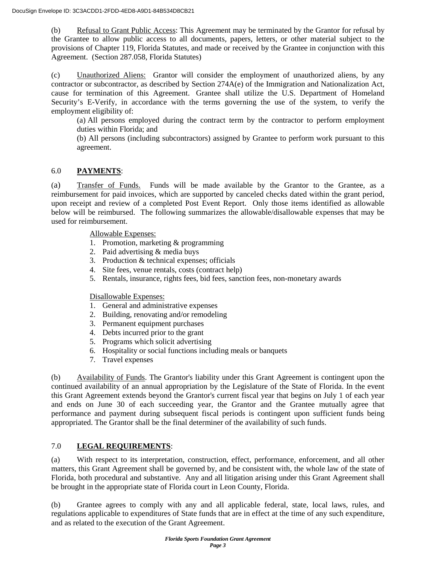(b) Refusal to Grant Public Access: This Agreement may be terminated by the Grantor for refusal by the Grantee to allow public access to all documents, papers, letters, or other material subject to the provisions of Chapter 119, Florida Statutes, and made or received by the Grantee in conjunction with this Agreement. (Section 287.058, Florida Statutes)

(c) Unauthorized Aliens: Grantor will consider the employment of unauthorized aliens, by any contractor or subcontractor, as described by Section 274A(e) of the Immigration and Nationalization Act, cause for termination of this Agreement. Grantee shall utilize the U.S. Department of Homeland Security's E-Verify, in accordance with the terms governing the use of the system, to verify the employment eligibility of:

(a) All persons employed during the contract term by the contractor to perform employment duties within Florida; and

(b) All persons (including subcontractors) assigned by Grantee to perform work pursuant to this agreement.

# 6.0 **PAYMENTS**:

(a) Transfer of Funds. Funds will be made available by the Grantor to the Grantee, as a reimbursement for paid invoices, which are supported by canceled checks dated within the grant period, upon receipt and review of a completed Post Event Report. Only those items identified as allowable below will be reimbursed. The following summarizes the allowable/disallowable expenses that may be used for reimbursement.

Allowable Expenses:

- 1. Promotion, marketing & programming
- 2. Paid advertising & media buys
- 3. Production & technical expenses; officials
- 4. Site fees, venue rentals, costs (contract help)
- 5. Rentals, insurance, rights fees, bid fees, sanction fees, non-monetary awards

Disallowable Expenses:

- 1. General and administrative expenses
- 2. Building, renovating and/or remodeling
- 3. Permanent equipment purchases
- 4. Debts incurred prior to the grant
- 5. Programs which solicit advertising
- 6. Hospitality or social functions including meals or banquets
- 7. Travel expenses

(b) Availability of Funds. The Grantor's liability under this Grant Agreement is contingent upon the continued availability of an annual appropriation by the Legislature of the State of Florida. In the event this Grant Agreement extends beyond the Grantor's current fiscal year that begins on July 1 of each year and ends on June 30 of each succeeding year, the Grantor and the Grantee mutually agree that performance and payment during subsequent fiscal periods is contingent upon sufficient funds being appropriated. The Grantor shall be the final determiner of the availability of such funds.

# 7.0 **LEGAL REQUIREMENTS**:

(a) With respect to its interpretation, construction, effect, performance, enforcement, and all other matters, this Grant Agreement shall be governed by, and be consistent with, the whole law of the state of Florida, both procedural and substantive. Any and all litigation arising under this Grant Agreement shall be brought in the appropriate state of Florida court in Leon County, Florida.

(b) Grantee agrees to comply with any and all applicable federal, state, local laws, rules, and regulations applicable to expenditures of State funds that are in effect at the time of any such expenditure, and as related to the execution of the Grant Agreement.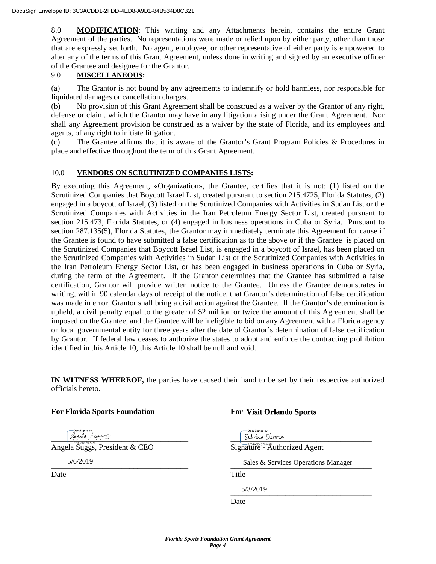8.0 **MODIFICATION**: This writing and any Attachments herein, contains the entire Grant Agreement of the parties. No representations were made or relied upon by either party, other than those that are expressly set forth. No agent, employee, or other representative of either party is empowered to alter any of the terms of this Grant Agreement, unless done in writing and signed by an executive officer of the Grantee and designee for the Grantor.

# 9.0 **MISCELLANEOUS:**

(a) The Grantor is not bound by any agreements to indemnify or hold harmless, nor responsible for liquidated damages or cancellation charges.

(b) No provision of this Grant Agreement shall be construed as a waiver by the Grantor of any right, defense or claim, which the Grantor may have in any litigation arising under the Grant Agreement. Nor shall any Agreement provision be construed as a waiver by the state of Florida, and its employees and agents, of any right to initiate litigation.

(c) The Grantee affirms that it is aware of the Grantor's Grant Program Policies & Procedures in place and effective throughout the term of this Grant Agreement.

# 10.0 **VENDORS ON SCRUTINIZED COMPANIES LISTS:**

By executing this Agreement, «Organization», the Grantee, certifies that it is not: (1) listed on the Scrutinized Companies that Boycott Israel List, created pursuant to section 215.4725, Florida Statutes, (2) engaged in a boycott of Israel, (3) listed on the Scrutinized Companies with Activities in Sudan List or the Scrutinized Companies with Activities in the Iran Petroleum Energy Sector List, created pursuant to section 215.473, Florida Statutes, or (4) engaged in business operations in Cuba or Syria. Pursuant to section 287.135(5), Florida Statutes, the Grantor may immediately terminate this Agreement for cause if the Grantee is found to have submitted a false certification as to the above or if the Grantee is placed on the Scrutinized Companies that Boycott Israel List, is engaged in a boycott of Israel, has been placed on the Scrutinized Companies with Activities in Sudan List or the Scrutinized Companies with Activities in the Iran Petroleum Energy Sector List, or has been engaged in business operations in Cuba or Syria, during the term of the Agreement. If the Grantor determines that the Grantee has submitted a false certification, Grantor will provide written notice to the Grantee. Unless the Grantee demonstrates in writing, within 90 calendar days of receipt of the notice, that Grantor's determination of false certification was made in error, Grantor shall bring a civil action against the Grantee. If the Grantor's determination is upheld, a civil penalty equal to the greater of \$2 million or twice the amount of this Agreement shall be imposed on the Grantee, and the Grantee will be ineligible to bid on any Agreement with a Florida agency or local governmental entity for three years after the date of Grantor's determination of false certification by Grantor. If federal law ceases to authorize the states to adopt and enforce the contracting prohibition identified in this Article 10, this Article 10 shall be null and void.

**IN WITNESS WHEREOF,** the parties have caused their hand to be set by their respective authorized officials hereto.

# **For Florida Sports Foundation For**

 $\frac{1}{2}$  subminimizing  $\frac{1}{2}$  subminimizing  $\frac{1}{2}$  subminimizing  $\frac{1}{2}$  subminimizing  $\frac{1}{2}$  subminimizing  $\frac{1}{2}$ 

Angela Suggs, President & CEO Signature - Authorized Agent

5/6/2019

# **Visit Orlando Sports**

\_\_\_\_\_\_\_\_\_\_\_\_\_\_\_\_\_\_\_\_\_\_\_\_\_\_\_\_\_\_\_\_\_\_\_ \_\_\_\_\_\_\_\_\_\_\_\_\_\_\_\_\_\_\_\_\_\_\_\_\_\_\_\_\_\_\_\_\_\_\_\_ Sales & Services Operations Manager

Date Title

 $3/3/2019$ 5/3/2019

Date